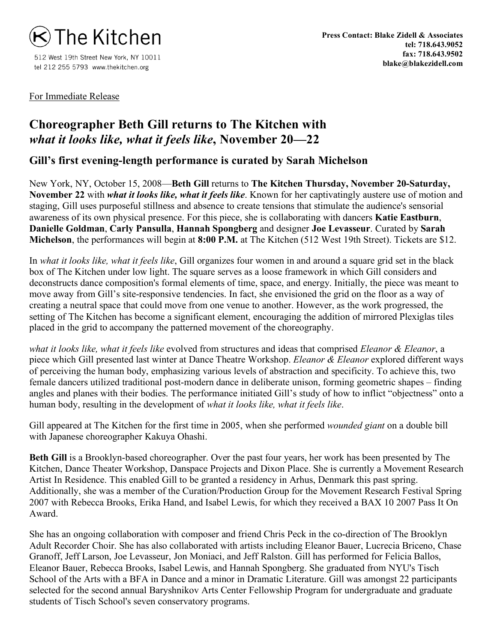

512 West 19th Street New York, NY 10011 tel 212 255 5793 www.thekitchen.org

For Immediate Release

## **Choreographer Beth Gill returns to The Kitchen with** *what it looks like, what it feels like***, November 20—22**

**Gill's first evening-length performance is curated by Sarah Michelson**

New York, NY, October 15, 2008—**Beth Gill** returns to **The Kitchen Thursday, November 20-Saturday, November 22** with *what it looks like, what it feels like*. Known for her captivatingly austere use of motion and staging, Gill uses purposeful stillness and absence to create tensions that stimulate the audience's sensorial awareness of its own physical presence. For this piece, she is collaborating with dancers **Katie Eastburn**, **Danielle Goldman**, **Carly Pansulla**, **Hannah Spongberg** and designer **Joe Levasseur**. Curated by **Sarah Michelson**, the performances will begin at **8:00 P.M.** at The Kitchen (512 West 19th Street). Tickets are \$12.

In *what it looks like, what it feels like*, Gill organizes four women in and around a square grid set in the black box of The Kitchen under low light. The square serves as a loose framework in which Gill considers and deconstructs dance composition's formal elements of time, space, and energy. Initially, the piece was meant to move away from Gill's site-responsive tendencies. In fact, she envisioned the grid on the floor as a way of creating a neutral space that could move from one venue to another. However, as the work progressed, the setting of The Kitchen has become a significant element, encouraging the addition of mirrored Plexiglas tiles placed in the grid to accompany the patterned movement of the choreography.

*what it looks like, what it feels like* evolved from structures and ideas that comprised *Eleanor & Eleanor*, a piece which Gill presented last winter at Dance Theatre Workshop. *Eleanor & Eleanor* explored different ways of perceiving the human body, emphasizing various levels of abstraction and specificity. To achieve this, two female dancers utilized traditional post-modern dance in deliberate unison, forming geometric shapes – finding angles and planes with their bodies. The performance initiated Gill's study of how to inflict "objectness" onto a human body, resulting in the development of *what it looks like, what it feels like*.

Gill appeared at The Kitchen for the first time in 2005, when she performed *wounded giant* on a double bill with Japanese choreographer Kakuya Ohashi.

**Beth Gill** is a Brooklyn-based choreographer. Over the past four years, her work has been presented by The Kitchen, Dance Theater Workshop, Danspace Projects and Dixon Place. She is currently a Movement Research Artist In Residence. This enabled Gill to be granted a residency in Arhus, Denmark this past spring. Additionally, she was a member of the Curation/Production Group for the Movement Research Festival Spring 2007 with Rebecca Brooks, Erika Hand, and Isabel Lewis, for which they received a BAX 10 2007 Pass It On Award.

She has an ongoing collaboration with composer and friend Chris Peck in the co-direction of The Brooklyn Adult Recorder Choir. She has also collaborated with artists including Eleanor Bauer, Lucrecia Briceno, Chase Granoff, Jeff Larson, Joe Levasseur, Jon Moniaci, and Jeff Ralston. Gill has performed for Felicia Ballos, Eleanor Bauer, Rebecca Brooks, Isabel Lewis, and Hannah Spongberg. She graduated from NYU's Tisch School of the Arts with a BFA in Dance and a minor in Dramatic Literature. Gill was amongst 22 participants selected for the second annual Baryshnikov Arts Center Fellowship Program for undergraduate and graduate students of Tisch School's seven conservatory programs.